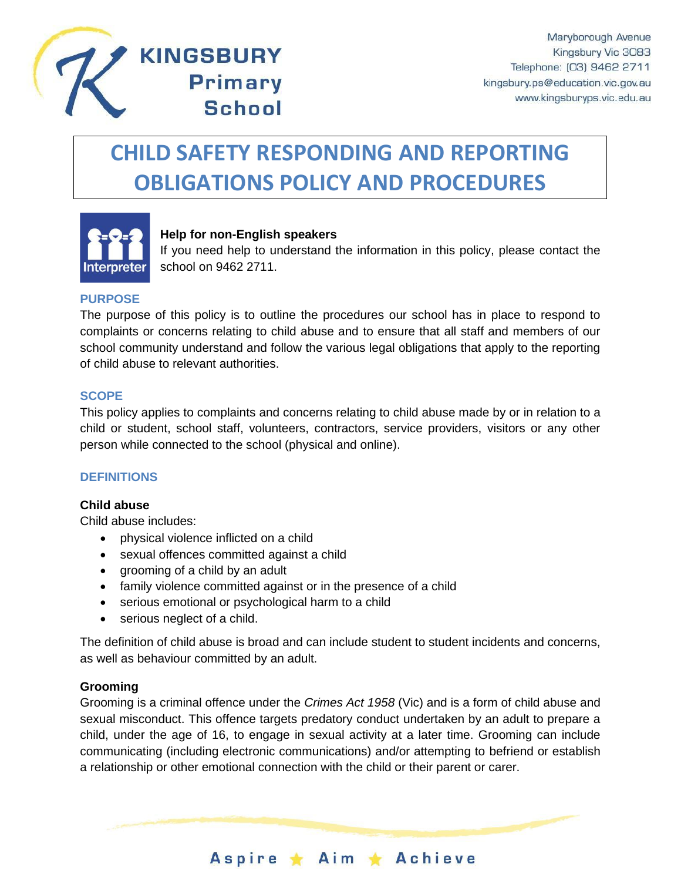

# **CHILD SAFETY RESPONDING AND REPORTING OBLIGATIONS POLICY AND PROCEDURES**



# **Help for non-English speakers**

**KINGSBURY** 

**Primary** 

**School** 

If you need help to understand the information in this policy, please contact the school on 9462 2711.

#### **PURPOSE**

The purpose of this policy is to outline the procedures our school has in place to respond to complaints or concerns relating to child abuse and to ensure that all staff and members of our school community understand and follow the various legal obligations that apply to the reporting of child abuse to relevant authorities.

#### **SCOPE**

This policy applies to complaints and concerns relating to child abuse made by or in relation to a child or student, school staff, volunteers, contractors, service providers, visitors or any other person while connected to the school (physical and online).

#### **DEFINITIONS**

#### **Child abuse**

Child abuse includes:

- physical violence inflicted on a child
- sexual offences committed against a child
- grooming of a child by an adult
- family violence committed against or in the presence of a child
- serious emotional or psychological harm to a child
- serious neglect of a child.

The definition of child abuse is broad and can include student to student incidents and concerns, as well as behaviour committed by an adult.

#### **Grooming**

Grooming is a criminal offence under the *Crimes Act 1958* (Vic) and is a form of child abuse and sexual misconduct. This offence targets predatory conduct undertaken by an adult to prepare a child, under the age of 16, to engage in sexual activity at a later time. Grooming can include communicating (including electronic communications) and/or attempting to befriend or establish a relationship or other emotional connection with the child or their parent or carer.

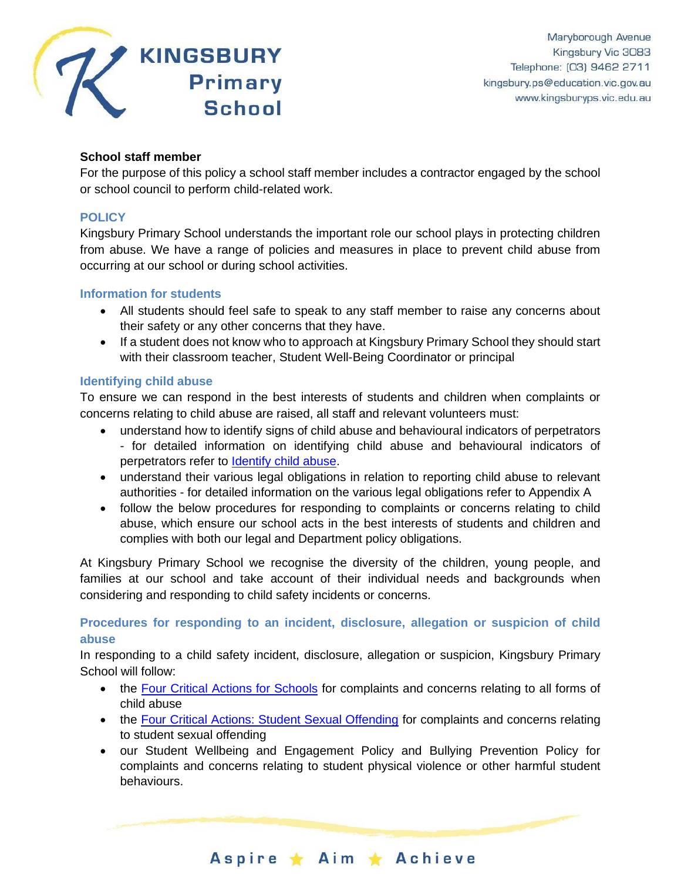

# **School staff member**

For the purpose of this policy a school staff member includes a contractor engaged by the school or school council to perform child-related work.

#### **POLICY**

Kingsbury Primary School understands the important role our school plays in protecting children from abuse. We have a range of policies and measures in place to prevent child abuse from occurring at our school or during school activities.

#### **Information for students**

- All students should feel safe to speak to any staff member to raise any concerns about their safety or any other concerns that they have.
- If a student does not know who to approach at Kingsbury Primary School they should start with their classroom teacher, Student Well-Being Coordinator or principal

# **Identifying child abuse**

To ensure we can respond in the best interests of students and children when complaints or concerns relating to child abuse are raised, all staff and relevant volunteers must:

- understand how to identify signs of child abuse and behavioural indicators of perpetrators - for detailed information on identifying child abuse and behavioural indicators of perpetrators refer to [Identify child abuse.](https://www.education.vic.gov.au/school/teachers/health/childprotection/Pages/identify.aspx)
- understand their various legal obligations in relation to reporting child abuse to relevant authorities - for detailed information on the various legal obligations refer to Appendix A
- follow the below procedures for responding to complaints or concerns relating to child abuse, which ensure our school acts in the best interests of students and children and complies with both our legal and Department policy obligations.

At Kingsbury Primary School we recognise the diversity of the children, young people, and families at our school and take account of their individual needs and backgrounds when considering and responding to child safety incidents or concerns.

# **Procedures for responding to an incident, disclosure, allegation or suspicion of child abuse**

In responding to a child safety incident, disclosure, allegation or suspicion, Kingsbury Primary School will follow:

- the [Four Critical Actions for Schools](https://www.education.vic.gov.au/Documents/about/programs/health/protect/FourCriticalActions_ChildAbuse.pdf) for complaints and concerns relating to all forms of child abuse
- the [Four Critical Actions: Student Sexual Offending](https://www.education.vic.gov.au/school/teachers/health/childprotection/Pages/stusexual.aspx) for complaints and concerns relating to student sexual offending
- our Student Wellbeing and Engagement Policy and Bullying Prevention Policy for complaints and concerns relating to student physical violence or other harmful student behaviours.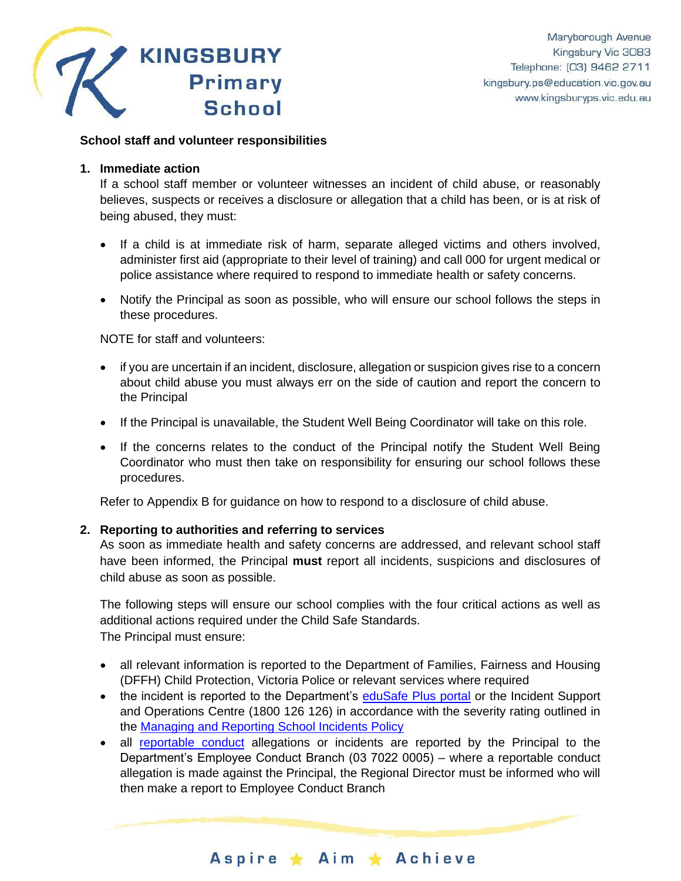

#### **School staff and volunteer responsibilities**

#### **1. Immediate action**

If a school staff member or volunteer witnesses an incident of child abuse, or reasonably believes, suspects or receives a disclosure or allegation that a child has been, or is at risk of being abused, they must:

- If a child is at immediate risk of harm, separate alleged victims and others involved, administer first aid (appropriate to their level of training) and call 000 for urgent medical or police assistance where required to respond to immediate health or safety concerns.
- Notify the Principal as soon as possible, who will ensure our school follows the steps in these procedures.

NOTE for staff and volunteers:

- if you are uncertain if an incident, disclosure, allegation or suspicion gives rise to a concern about child abuse you must always err on the side of caution and report the concern to the Principal
- If the Principal is unavailable, the Student Well Being Coordinator will take on this role.
- If the concerns relates to the conduct of the Principal notify the Student Well Being Coordinator who must then take on responsibility for ensuring our school follows these procedures.

Refer to Appendix B for guidance on how to respond to a disclosure of child abuse.

# **2. Reporting to authorities and referring to services**

As soon as immediate health and safety concerns are addressed, and relevant school staff have been informed, the Principal **must** report all incidents, suspicions and disclosures of child abuse as soon as possible.

The following steps will ensure our school complies with the four critical actions as well as additional actions required under the Child Safe Standards. The Principal must ensure:

- all relevant information is reported to the Department of Families, Fairness and Housing (DFFH) Child Protection, Victoria Police or relevant services where required
- the incident is reported to the Department's [eduSafe Plus portal](https://services.educationapps.vic.gov.au/edusafeplus) or the Incident Support and Operations Centre (1800 126 126) in accordance with the severity rating outlined in the [Managing and Reporting School Incidents Policy](https://www2.education.vic.gov.au/pal/reporting-and-managing-school-incidents-including-emergencies/policy)
- all [reportable conduct](https://www2.education.vic.gov.au/pal/reportable-conduct-scheme/policy) allegations or incidents are reported by the Principal to the Department's Employee Conduct Branch (03 7022 0005) – where a reportable conduct allegation is made against the Principal, the Regional Director must be informed who will then make a report to Employee Conduct Branch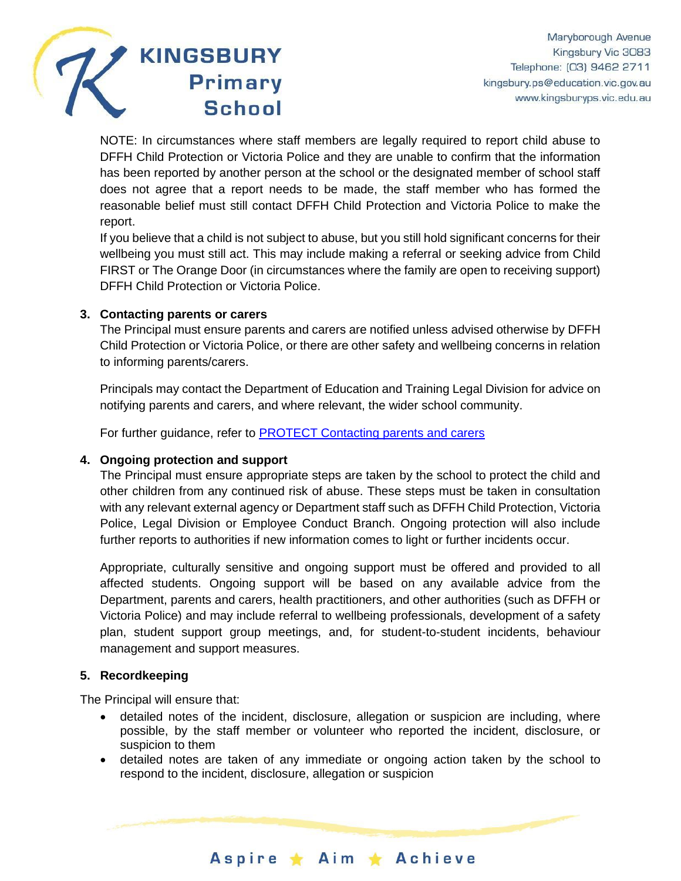

NOTE: In circumstances where staff members are legally required to report child abuse to DFFH Child Protection or Victoria Police and they are unable to confirm that the information has been reported by another person at the school or the designated member of school staff does not agree that a report needs to be made, the staff member who has formed the reasonable belief must still contact DFFH Child Protection and Victoria Police to make the report.

If you believe that a child is not subject to abuse, but you still hold significant concerns for their wellbeing you must still act. This may include making a referral or seeking advice from Child FIRST or The Orange Door (in circumstances where the family are open to receiving support) DFFH Child Protection or Victoria Police.

#### **3. Contacting parents or carers**

The Principal must ensure parents and carers are notified unless advised otherwise by DFFH Child Protection or Victoria Police, or there are other safety and wellbeing concerns in relation to informing parents/carers.

Principals may contact the Department of Education and Training Legal Division for advice on notifying parents and carers, and where relevant, the wider school community.

For further guidance, refer to **PROTECT** Contacting parents and carers

#### **4. Ongoing protection and support**

The Principal must ensure appropriate steps are taken by the school to protect the child and other children from any continued risk of abuse. These steps must be taken in consultation with any relevant external agency or Department staff such as DFFH Child Protection, Victoria Police, Legal Division or Employee Conduct Branch. Ongoing protection will also include further reports to authorities if new information comes to light or further incidents occur.

Appropriate, culturally sensitive and ongoing support must be offered and provided to all affected students. Ongoing support will be based on any available advice from the Department, parents and carers, health practitioners, and other authorities (such as DFFH or Victoria Police) and may include referral to wellbeing professionals, development of a safety plan, student support group meetings, and, for student-to-student incidents, behaviour management and support measures.

#### **5. Recordkeeping**

The Principal will ensure that:

- detailed notes of the incident, disclosure, allegation or suspicion are including, where possible, by the staff member or volunteer who reported the incident, disclosure, or suspicion to them
- detailed notes are taken of any immediate or ongoing action taken by the school to respond to the incident, disclosure, allegation or suspicion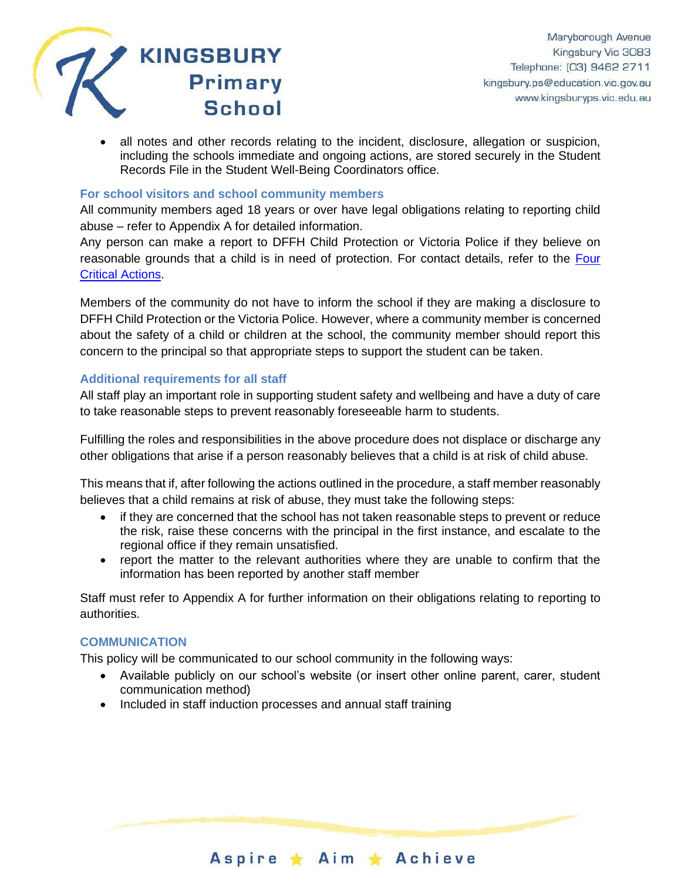

• all notes and other records relating to the incident, disclosure, allegation or suspicion, including the schools immediate and ongoing actions, are stored securely in the Student Records File in the Student Well-Being Coordinators office.

#### **For school visitors and school community members**

All community members aged 18 years or over have legal obligations relating to reporting child abuse – refer to Appendix A for detailed information.

Any person can make a report to DFFH Child Protection or Victoria Police if they believe on reasonable grounds that a child is in need of protection. For contact details, refer to the Four [Critical Actions.](https://www.education.vic.gov.au/Documents/about/programs/health/protect/FourCriticalActions_ChildAbuse.pdf)

Members of the community do not have to inform the school if they are making a disclosure to DFFH Child Protection or the Victoria Police. However, where a community member is concerned about the safety of a child or children at the school, the community member should report this concern to the principal so that appropriate steps to support the student can be taken.

#### **Additional requirements for all staff**

All staff play an important role in supporting student safety and wellbeing and have a duty of care to take reasonable steps to prevent reasonably foreseeable harm to students.

Fulfilling the roles and responsibilities in the above procedure does not displace or discharge any other obligations that arise if a person reasonably believes that a child is at risk of child abuse.

This means that if, after following the actions outlined in the procedure, a staff member reasonably believes that a child remains at risk of abuse, they must take the following steps:

- if they are concerned that the school has not taken reasonable steps to prevent or reduce the risk, raise these concerns with the principal in the first instance, and escalate to the regional office if they remain unsatisfied.
- report the matter to the relevant authorities where they are unable to confirm that the information has been reported by another staff member

Staff must refer to Appendix A for further information on their obligations relating to reporting to authorities.

#### **COMMUNICATION**

This policy will be communicated to our school community in the following ways:

• Available publicly on our school's website (or insert other online parent, carer, student communication method)

Aspire ★ Aim ★ Achieve

• Included in staff induction processes and annual staff training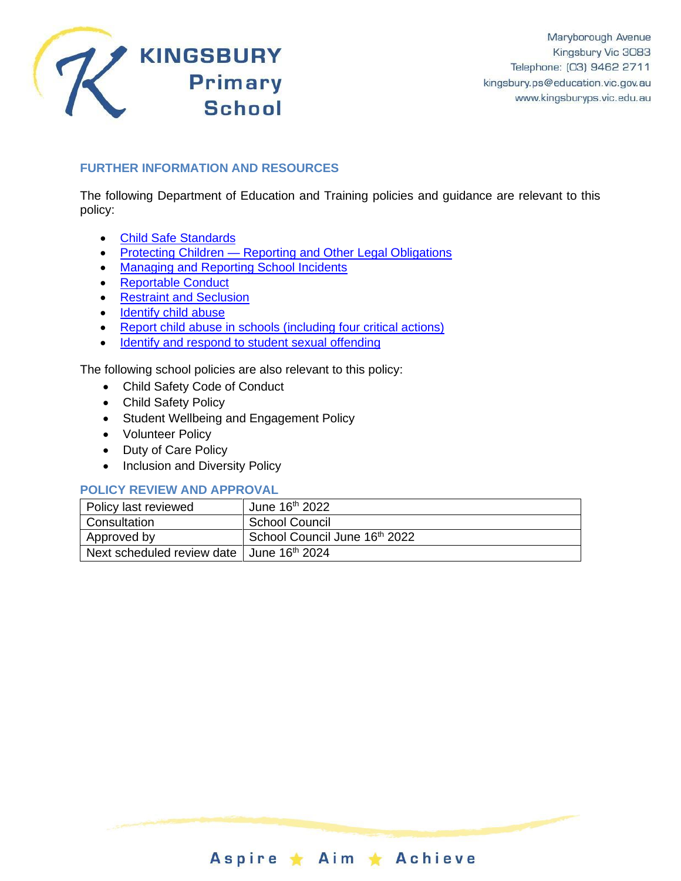

# **FURTHER INFORMATION AND RESOURCES**

The following Department of Education and Training policies and guidance are relevant to this policy:

- [Child Safe Standards](https://www2.education.vic.gov.au/pal/child-safe-standards/policy)
- Protecting Children [Reporting and Other Legal Obligations](https://www2.education.vic.gov.au/pal/protecting-children/policy)
- [Managing and Reporting School Incidents](https://www2.education.vic.gov.au/pal/reporting-and-managing-school-incidents-including-emergencies/policy)
- [Reportable Conduct](https://www2.education.vic.gov.au/pal/reportable-conduct-scheme/policy)
- [Restraint and Seclusion](https://www2.education.vic.gov.au/pal/restraint-seclusion/policy)
- [Identify child abuse](https://www.education.vic.gov.au/school/teachers/health/childprotection/Pages/identify.aspx)
- [Report child abuse in schools \(including four critical actions\)](https://www.education.vic.gov.au/school/teachers/health/childprotection/Pages/report.aspx)
- [Identify and respond to student sexual offending](https://www.education.vic.gov.au/school/teachers/health/childprotection/Pages/stusexual.aspx)

The following school policies are also relevant to this policy:

- Child Safety Code of Conduct
- Child Safety Policy
- Student Wellbeing and Engagement Policy
- Volunteer Policy
- Duty of Care Policy
- Inclusion and Diversity Policy

#### **POLICY REVIEW AND APPROVAL**

| Policy last reviewed                                    | June 16th 2022                |
|---------------------------------------------------------|-------------------------------|
| Consultation                                            | School Council                |
| Approved by                                             | School Council June 16th 2022 |
| Next scheduled review date   June 16 <sup>th</sup> 2024 |                               |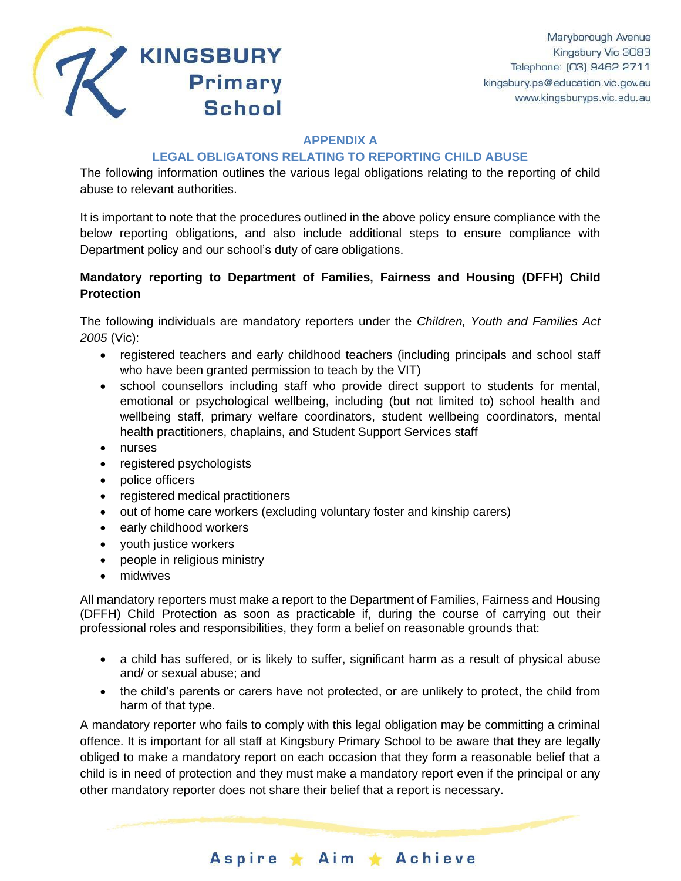

#### **APPENDIX A**

# **LEGAL OBLIGATONS RELATING TO REPORTING CHILD ABUSE**

The following information outlines the various legal obligations relating to the reporting of child abuse to relevant authorities.

It is important to note that the procedures outlined in the above policy ensure compliance with the below reporting obligations, and also include additional steps to ensure compliance with Department policy and our school's duty of care obligations.

# **Mandatory reporting to Department of Families, Fairness and Housing (DFFH) Child Protection**

The following individuals are mandatory reporters under the *Children, Youth and Families Act 2005* (Vic):

- registered teachers and early childhood teachers (including principals and school staff who have been granted permission to teach by the VIT)
- school counsellors including staff who provide direct support to students for mental, emotional or psychological wellbeing, including (but not limited to) school health and wellbeing staff, primary welfare coordinators, student wellbeing coordinators, mental health practitioners, chaplains, and Student Support Services staff
- nurses
- registered psychologists
- police officers
- registered medical practitioners
- out of home care workers (excluding voluntary foster and kinship carers)
- early childhood workers
- youth justice workers
- people in religious ministry
- midwives

All mandatory reporters must make a report to the Department of Families, Fairness and Housing (DFFH) Child Protection as soon as practicable if, during the course of carrying out their professional roles and responsibilities, they form a belief on reasonable grounds that:

- a child has suffered, or is likely to suffer, significant harm as a result of physical abuse and/ or sexual abuse; and
- the child's parents or carers have not protected, or are unlikely to protect, the child from harm of that type.

A mandatory reporter who fails to comply with this legal obligation may be committing a criminal offence. It is important for all staff at Kingsbury Primary School to be aware that they are legally obliged to make a mandatory report on each occasion that they form a reasonable belief that a child is in need of protection and they must make a mandatory report even if the principal or any other mandatory reporter does not share their belief that a report is necessary.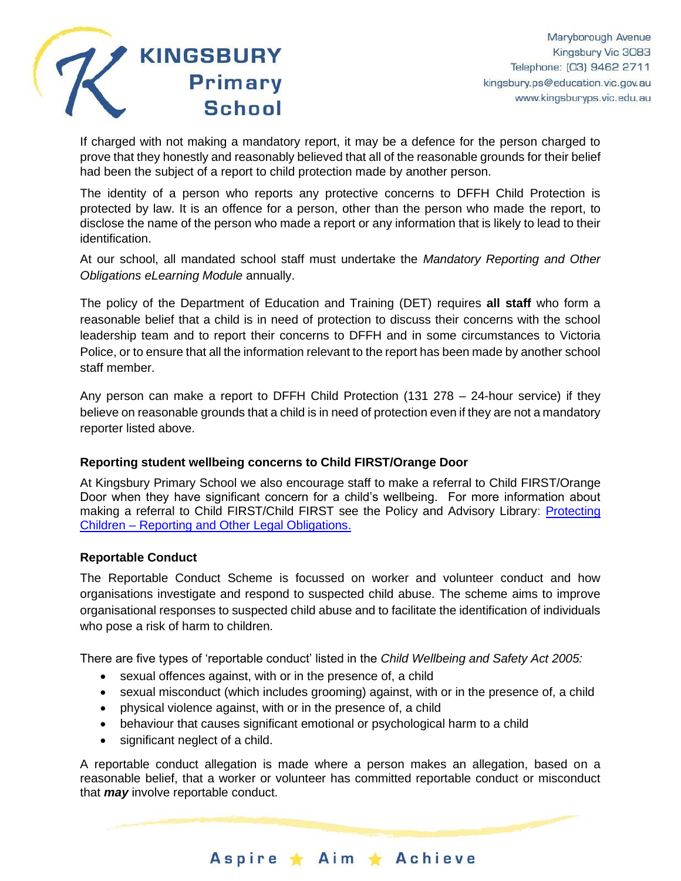

If charged with not making a mandatory report, it may be a defence for the person charged to prove that they honestly and reasonably believed that all of the reasonable grounds for their belief had been the subject of a report to child protection made by another person.

The identity of a person who reports any protective concerns to DFFH Child Protection is protected by law. It is an offence for a person, other than the person who made the report, to disclose the name of the person who made a report or any information that is likely to lead to their identification.

At our school, all mandated school staff must undertake the *Mandatory Reporting and Other Obligations eLearning Module* annually.

The policy of the Department of Education and Training (DET) requires **all staff** who form a reasonable belief that a child is in need of protection to discuss their concerns with the school leadership team and to report their concerns to DFFH and in some circumstances to Victoria Police, or to ensure that all the information relevant to the report has been made by another school staff member.

Any person can make a report to DFFH Child Protection (131 278 – 24-hour service) if they believe on reasonable grounds that a child is in need of protection even if they are not a mandatory reporter listed above.

# **Reporting student wellbeing concerns to Child FIRST/Orange Door**

At Kingsbury Primary School we also encourage staff to make a referral to Child FIRST/Orange Door when they have significant concern for a child's wellbeing. For more information about making a referral to Child FIRST/Child FIRST see the Policy and Advisory Library: [Protecting](https://www2.education.vic.gov.au/pal/protecting-children/policy)  Children – [Reporting and Other Legal Obligations.](https://www2.education.vic.gov.au/pal/protecting-children/policy)

#### **Reportable Conduct**

The Reportable Conduct Scheme is focussed on worker and volunteer conduct and how organisations investigate and respond to suspected child abuse. The scheme aims to improve organisational responses to suspected child abuse and to facilitate the identification of individuals who pose a risk of harm to children.

There are five types of 'reportable conduct' listed in the *Child Wellbeing and Safety Act 2005:*

- sexual offences against, with or in the presence of, a child
- sexual misconduct (which includes grooming) against, with or in the presence of, a child
- physical violence against, with or in the presence of, a child
- behaviour that causes significant emotional or psychological harm to a child
- significant neglect of a child.

A reportable conduct allegation is made where a person makes an allegation, based on a reasonable belief, that a worker or volunteer has committed reportable conduct or misconduct that *may* involve reportable conduct.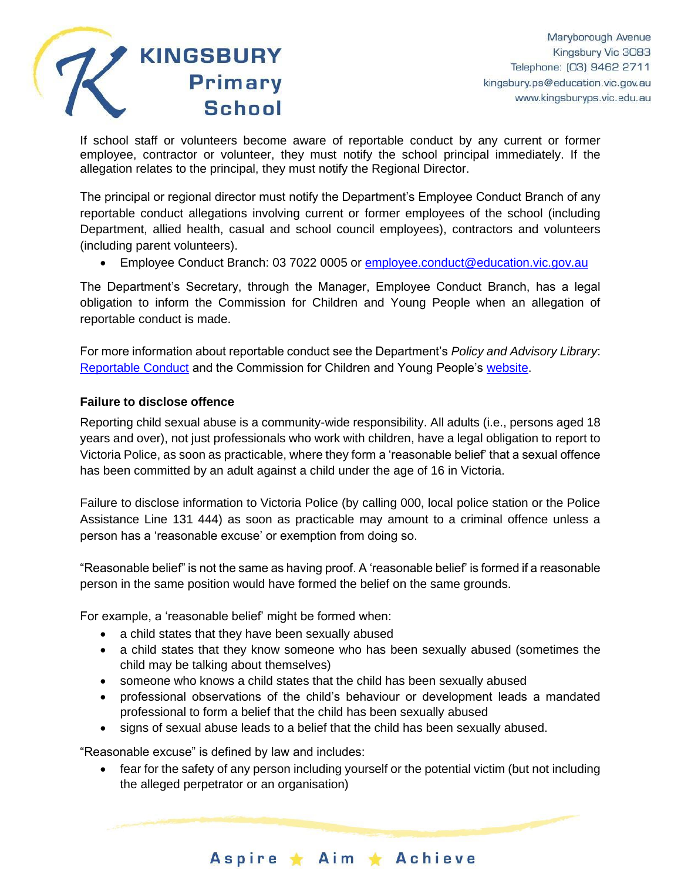

If school staff or volunteers become aware of reportable conduct by any current or former employee, contractor or volunteer, they must notify the school principal immediately. If the allegation relates to the principal, they must notify the Regional Director.

The principal or regional director must notify the Department's Employee Conduct Branch of any reportable conduct allegations involving current or former employees of the school (including Department, allied health, casual and school council employees), contractors and volunteers (including parent volunteers).

• Employee Conduct Branch: 03 7022 0005 or **employee.conduct@education.vic.gov.au** 

The Department's Secretary, through the Manager, Employee Conduct Branch, has a legal obligation to inform the Commission for Children and Young People when an allegation of reportable conduct is made.

For more information about reportable conduct see the Department's *Policy and Advisory Library*: [Reportable Conduct](https://www2.education.vic.gov.au/pal/reportable-conduct-scheme/policy) and the Commission for Children and Young People's [website.](https://ccyp.vic.gov.au/reportable-conduct-scheme/)

# **Failure to disclose offence**

Reporting child sexual abuse is a community-wide responsibility. All adults (i.e., persons aged 18 years and over), not just professionals who work with children, have a legal obligation to report to Victoria Police, as soon as practicable, where they form a 'reasonable belief' that a sexual offence has been committed by an adult against a child under the age of 16 in Victoria.

Failure to disclose information to Victoria Police (by calling 000, local police station or the Police Assistance Line 131 444) as soon as practicable may amount to a criminal offence unless a person has a 'reasonable excuse' or exemption from doing so.

"Reasonable belief" is not the same as having proof. A 'reasonable belief' is formed if a reasonable person in the same position would have formed the belief on the same grounds.

For example, a 'reasonable belief' might be formed when:

- a child states that they have been sexually abused
- a child states that they know someone who has been sexually abused (sometimes the child may be talking about themselves)
- someone who knows a child states that the child has been sexually abused
- professional observations of the child's behaviour or development leads a mandated professional to form a belief that the child has been sexually abused
- signs of sexual abuse leads to a belief that the child has been sexually abused.

"Reasonable excuse" is defined by law and includes:

• fear for the safety of any person including yourself or the potential victim (but not including the alleged perpetrator or an organisation)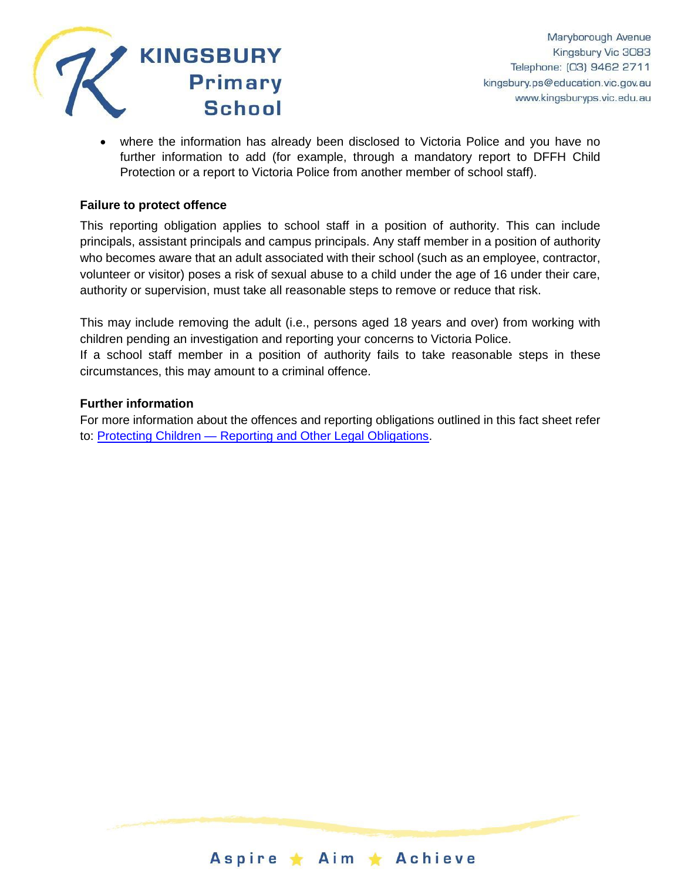

• where the information has already been disclosed to Victoria Police and you have no further information to add (for example, through a mandatory report to DFFH Child Protection or a report to Victoria Police from another member of school staff).

#### **Failure to protect offence**

This reporting obligation applies to school staff in a position of authority. This can include principals, assistant principals and campus principals. Any staff member in a position of authority who becomes aware that an adult associated with their school (such as an employee, contractor, volunteer or visitor) poses a risk of sexual abuse to a child under the age of 16 under their care, authority or supervision, must take all reasonable steps to remove or reduce that risk.

This may include removing the adult (i.e., persons aged 18 years and over) from working with children pending an investigation and reporting your concerns to Victoria Police.

If a school staff member in a position of authority fails to take reasonable steps in these circumstances, this may amount to a criminal offence.

#### **Further information**

For more information about the offences and reporting obligations outlined in this fact sheet refer to: Protecting Children — [Reporting and Other Legal Obligations.](https://www2.education.vic.gov.au/pal/protecting-children/policy)